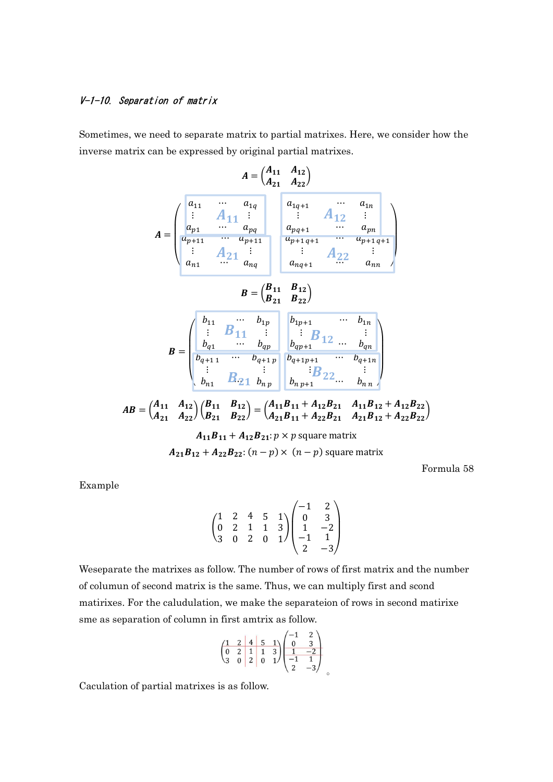## V-1-10. Separation of matrix

Sometimes, we need to separate matrix to partial matrixes. Here, we consider how the inverse matrix can be expressed by original partial matrixes.

$$
A = \begin{pmatrix} a_{11} & a_{12} \\ a_{21} & a_{22} \end{pmatrix}
$$
  
\n
$$
A = \begin{pmatrix} a_{11} & \cdots & a_{1q} \\ a_{p1} & \cdots & a_{pq} \\ a_{p1} & a_{pq} \\ \vdots & a_{p1} \\ a_{n1} & \cdots & a_{p1} \\ \vdots & a_{nq} \end{pmatrix} \begin{pmatrix} a_{1q+1} & \cdots & a_{1n} \\ a_{pq+1} & \cdots & a_{pn} \\ a_{pq+1} & \cdots & a_{pn} \\ \vdots & \vdots & \vdots \\ a_{nq+1} & a_{nq+1} \end{pmatrix}
$$
  
\n
$$
B = \begin{pmatrix} B_{11} & B_{12} \\ B_{21} & B_{22} \end{pmatrix}
$$
  
\n
$$
B = \begin{pmatrix} b_{11} & \cdots & b_{1p} \\ b_{q1} & \cdots & b_{qp} \\ b_{q+1} & \cdots & b_{qp} \\ \vdots & \vdots & \vdots \\ b_{n1} & B_{21} & b_{np} \end{pmatrix} \begin{pmatrix} b_{1p+1} & \cdots & b_{1n} \\ b_{1p+1} & \cdots & b_{qn} \\ b_{1q+1} & \cdots & b_{qn+1} \\ \vdots & \vdots & \vdots \\ b_{n1} & B_{22} & \vdots \end{pmatrix}
$$
  
\n
$$
AB = \begin{pmatrix} A_{11} & A_{12} \\ A_{21} & A_{22} \end{pmatrix} \begin{pmatrix} B_{11} & B_{12} \\ B_{21} & B_{22} \end{pmatrix} = \begin{pmatrix} A_{11}B_{11} + A_{12}B_{21} & A_{11}B_{12} + A_{12}B_{22} \\ A_{21}B_{11} + A_{22}B_{21} & A_{21}B_{12} + A_{22}B_{22} \end{pmatrix}
$$
  
\n
$$
A_{11}B_{11} + A_{12}B_{21} : p \times p \text{ square matrix}
$$
  
\n
$$
A_{21}B_{12} + A_{22}B_{22} : (n-p) \times (n-p) \text{ square matrix}
$$

Formula 58

Example

$$
\begin{pmatrix}\n1 & 2 & 4 & 5 & 1 \\
0 & 2 & 1 & 1 & 3 \\
3 & 0 & 2 & 0 & 1\n\end{pmatrix}\n\begin{pmatrix}\n-1 & 2 \\
0 & 3 \\
1 & -2 \\
-1 & 1 \\
2 & -3\n\end{pmatrix}
$$

Weseparate the matrixes as follow. The number of rows of first matrix and the number of columun of second matrix is the same. Thus, we can multiply first and scond matirixes. For the caludulation, we make the separateion of rows in second matirixe sme as separation of column in first amtrix as follow.

 $\sim$ 

$$
\begin{pmatrix}\n1 & 2 & 4 & 5 & 1 \\
0 & 2 & 1 & 1 & 3 \\
3 & 0 & 2 & 0 & 1\n\end{pmatrix}\n\begin{pmatrix}\n-1 & 2 \\
0 & 3 \\
1 & -2 \\
-1 & 1 \\
2 & -3\n\end{pmatrix}
$$

Caculation of partial matrixes is as follow.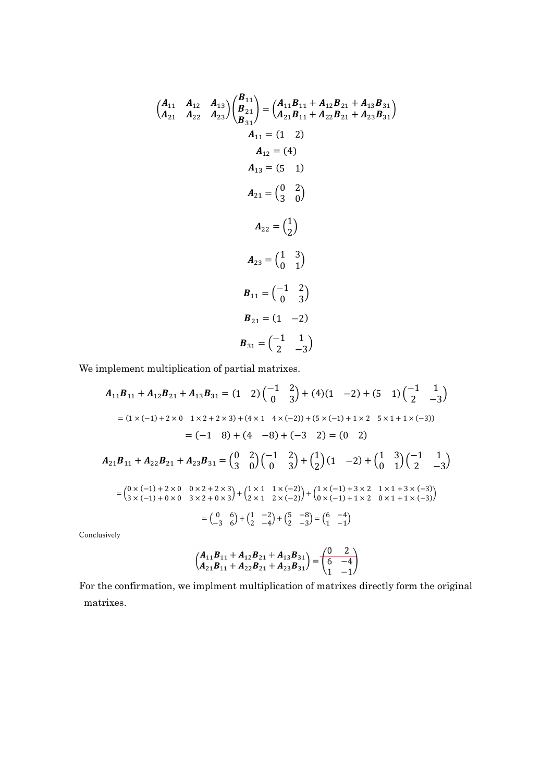$$
\begin{pmatrix}\nA_{11} & A_{12} & A_{13} \\
A_{21} & A_{22} & A_{23}\n\end{pmatrix}\n\begin{pmatrix}\nB_{21} \\
B_{21} \\
B_{31}\n\end{pmatrix} =\n\begin{pmatrix}\nA_{11}B_{11} + A_{12}B_{21} + A_{13}B_{31} \\
A_{21}B_{11} + A_{22}B_{21} + A_{23}B_{31}\n\end{pmatrix}
$$
\n
$$
A_{12} = (12)
$$
\n
$$
A_{13} = (5 1)
$$
\n
$$
A_{21} = \begin{pmatrix} 0 & 2 \\ 3 & 0 \end{pmatrix}
$$
\n
$$
A_{22} = \begin{pmatrix} 1 \\ 2 \end{pmatrix}
$$
\n
$$
A_{23} = \begin{pmatrix} 1 & 3 \\ 0 & 1 \end{pmatrix}
$$
\n
$$
B_{11} = \begin{pmatrix} -1 & 2 \\ 0 & 3 \end{pmatrix}
$$
\n
$$
B_{21} = (1 - 2)
$$
\n
$$
B_{31} = \begin{pmatrix} -1 & 1 \\ 2 & -3 \end{pmatrix}
$$

We implement multiplication of partial matrixes.

$$
A_{11}B_{11} + A_{12}B_{21} + A_{13}B_{31} = (1 \t2) \begin{pmatrix} -1 & 2 \\ 0 & 3 \end{pmatrix} + (4)(1 \t-2) + (5 \t1) \begin{pmatrix} -1 & 1 \\ 2 & -3 \end{pmatrix}
$$
  
\n
$$
= (1 \times (-1) + 2 \times 0 \t1 \times 2 + 2 \times 3) + (4 \times 1 \t4 \times (-2)) + (5 \times (-1) + 1 \times 2 \t5 \times 1 + 1 \times (-3))
$$
  
\n
$$
= (-1 \t8) + (4 \t-8) + (-3 \t2) = (0 \t2)
$$
  
\n
$$
A_{21}B_{11} + A_{22}B_{21} + A_{23}B_{31} = \begin{pmatrix} 0 & 2 \\ 3 & 0 \end{pmatrix} \begin{pmatrix} -1 & 2 \\ 0 & 3 \end{pmatrix} + \begin{pmatrix} 1 \\ 2 \end{pmatrix} (1 \t-2) + \begin{pmatrix} 1 & 3 \\ 0 & 1 \end{pmatrix} \begin{pmatrix} -1 & 1 \\ 2 & -3 \end{pmatrix}
$$
  
\n
$$
= \begin{pmatrix} 0 \times (-1) + 2 \times 0 & 0 \times 2 + 2 \times 3 \\ 3 \times (-1) + 0 \times 0 & 3 \times 2 + 0 \times 3 \end{pmatrix} + \begin{pmatrix} 1 \times 1 & 1 \times (-2) \\ 2 \times 1 & 2 \times (-2) \end{pmatrix} + \begin{pmatrix} 1 \times (-1) + 3 \times 2 & 1 \times 1 + 3 \times (-3) \\ 0 \times (-1) + 1 \times 2 & 0 \times 1 + 1 \times (-3) \end{pmatrix}
$$
  
\n
$$
= \begin{pmatrix} 0 & 6 \\ -3 & 6 \end{pmatrix} + \begin{pmatrix} 1 & -2 \\ 2 & -4 \end{pmatrix} + \begin{pmatrix} 5 & -8 \\ 2 & -3 \end{pmatrix} = \begin{pmatrix} 6 & -4 \\ 1 & -1 \end{pmatrix}
$$

Conclusively

$$
\begin{pmatrix} A_{11}B_{11} + A_{12}B_{21} + A_{13}B_{31} \ A_{21}B_{11} + A_{22}B_{21} + A_{23}B_{31} \end{pmatrix} = \begin{pmatrix} 0 & 2 \ 6 & -4 \ 1 & -1 \end{pmatrix}
$$

For the confirmation, we implment multiplication of matrixes directly form the original matrixes.